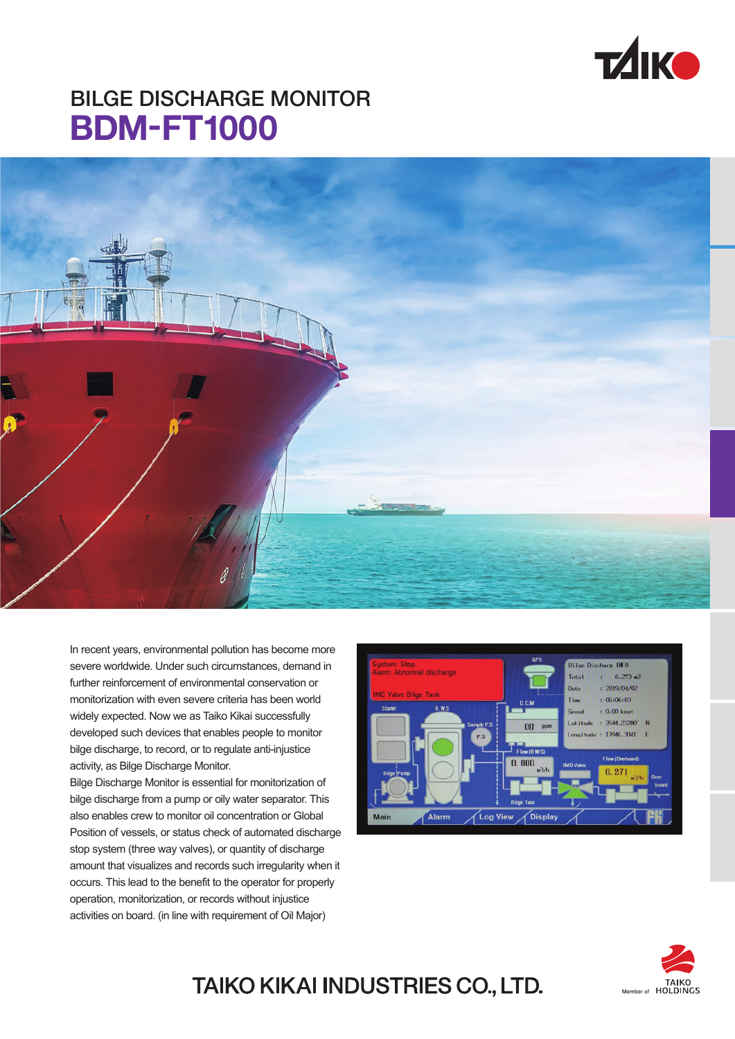

# BILGE DISCHARGE MONITOR **BDM-FT1000**



In recent years, environmental pollution has become more severe worldwide. Under such circumstances, demand in further reinforcement of environmental conservation or monitorization with even severe criteria has been world widely expected. Now we as Taiko Kikai successfully developed such devices that enables people to monitor bilge discharge, to record, or to regulate anti-injustice activity, as Bilge Discharge Monitor.

Bilge Discharge Monitor is essential for monitorization of bilge discharge from a pump or oily water separator. This also enables crew to monitor oil concentration or Global Position of vessels, or status check of automated discharge stop system (three way valves), or quantity of discharge amount that visualizes and records such irregularity when it occurs. This lead to the benefit to the operator for properly operation, monitorization, or records without injustice activities on board. (in line with requirement of Oil Major)





### TAIKO KIKAI INDUSTRIES CO., LTD.